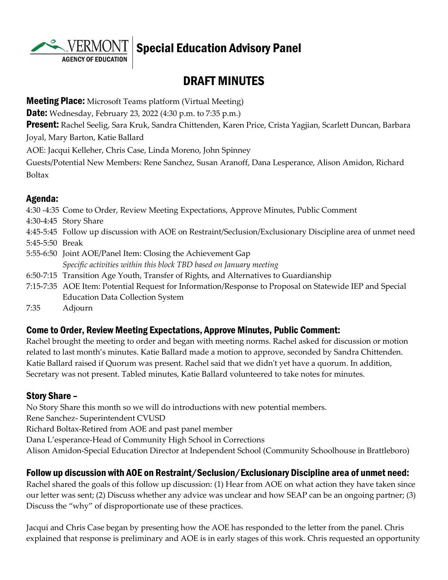

# $\overline{\text{VERMONT}}$   $\vert$  Special Education Advisory Panel

# DRAFT MINUTES

**Meeting Place:** Microsoft Teams platform (Virtual Meeting)

**Date:** Wednesday, February 23, 2022 (4:30 p.m. to 7:35 p.m.)

**Present:** Rachel Seelig, Sara Kruk, Sandra Chittenden, Karen Price, Crista Yagjian, Scarlett Duncan, Barbara Joyal, Mary Barton, Katie Ballard

AOE: Jacqui Kelleher, Chris Case, Linda Moreno, John Spinney

Guests/Potential New Members: Rene Sanchez, Susan Aranoff, Dana Lesperance, Alison Amidon, Richard Boltax

## Agenda:

4:30 -4:35 Come to Order, Review Meeting Expectations, Approve Minutes, Public Comment 4:30-4:45 Story Share 4:45-5:45 Follow up discussion with AOE on Restraint/Seclusion/Exclusionary Discipline area of unmet need 5:45-5:50 Break 5:55-6:50 Joint AOE/Panel Item: Closing the Achievement Gap *Specific activities within this block TBD based on January meeting* 6:50-7:15 Transition Age Youth, Transfer of Rights, and Alternatives to Guardianship 7:15-7:35 AOE Item: Potential Request for Information/Response to Proposal on Statewide IEP and Special Education Data Collection System

7:35 Adjourn

#### Come to Order, Review Meeting Expectations, Approve Minutes, Public Comment:

Rachel brought the meeting to order and began with meeting norms. Rachel asked for discussion or motion related to last month's minutes. Katie Ballard made a motion to approve, seconded by Sandra Chittenden. Katie Ballard raised if Quorum was present. Rachel said that we didn't yet have a quorum. In addition, Secretary was not present. Tabled minutes, Katie Ballard volunteered to take notes for minutes.

#### Story Share –

No Story Share this month so we will do introductions with new potential members. Rene Sanchez- Superintendent CVUSD Richard Boltax-Retired from AOE and past panel member Dana L'esperance-Head of Community High School in Corrections Alison Amidon-Special Education Director at Independent School (Community Schoolhouse in Brattleboro)

#### Follow up discussion with AOE on Restraint/Seclusion/Exclusionary Discipline area of unmet need:

Rachel shared the goals of this follow up discussion: (1) Hear from AOE on what action they have taken since our letter was sent; (2) Discuss whether any advice was unclear and how SEAP can be an ongoing partner; (3) Discuss the "why" of disproportionate use of these practices.

Jacqui and Chris Case began by presenting how the AOE has responded to the letter from the panel. Chris explained that response is preliminary and AOE is in early stages of this work. Chris requested an opportunity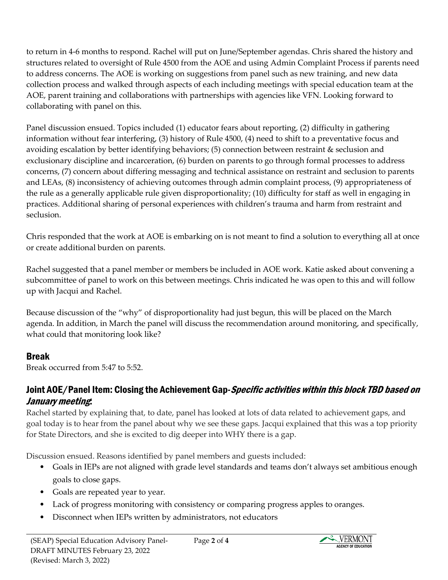to return in 4-6 months to respond. Rachel will put on June/September agendas. Chris shared the history and structures related to oversight of Rule 4500 from the AOE and using Admin Complaint Process if parents need to address concerns. The AOE is working on suggestions from panel such as new training, and new data collection process and walked through aspects of each including meetings with special education team at the AOE, parent training and collaborations with partnerships with agencies like VFN. Looking forward to collaborating with panel on this.

Panel discussion ensued. Topics included (1) educator fears about reporting, (2) difficulty in gathering information without fear interfering, (3) history of Rule 4500, (4) need to shift to a preventative focus and avoiding escalation by better identifying behaviors; (5) connection between restraint & seclusion and exclusionary discipline and incarceration, (6) burden on parents to go through formal processes to address concerns, (7) concern about differing messaging and technical assistance on restraint and seclusion to parents and LEAs, (8) inconsistency of achieving outcomes through admin complaint process, (9) appropriateness of the rule as a generally applicable rule given disproportionality; (10) difficulty for staff as well in engaging in practices. Additional sharing of personal experiences with children's trauma and harm from restraint and seclusion.

Chris responded that the work at AOE is embarking on is not meant to find a solution to everything all at once or create additional burden on parents.

Rachel suggested that a panel member or members be included in AOE work. Katie asked about convening a subcommittee of panel to work on this between meetings. Chris indicated he was open to this and will follow up with Jacqui and Rachel.

Because discussion of the "why" of disproportionality had just begun, this will be placed on the March agenda. In addition, in March the panel will discuss the recommendation around monitoring, and specifically, what could that monitoring look like?

#### Break

Break occurred from 5:47 to 5:52.

## Joint AOE/Panel Item: Closing the Achievement Gap-*Specific activities within this block TBD based on* January meeting:

Rachel started by explaining that, to date, panel has looked at lots of data related to achievement gaps, and goal today is to hear from the panel about why we see these gaps. Jacqui explained that this was a top priority for State Directors, and she is excited to dig deeper into WHY there is a gap.

Discussion ensued. Reasons identified by panel members and guests included:

- Goals in IEPs are not aligned with grade level standards and teams don't always set ambitious enough goals to close gaps.
- Goals are repeated year to year.
- Lack of progress monitoring with consistency or comparing progress apples to oranges.
- Disconnect when IEPs written by administrators, not educators

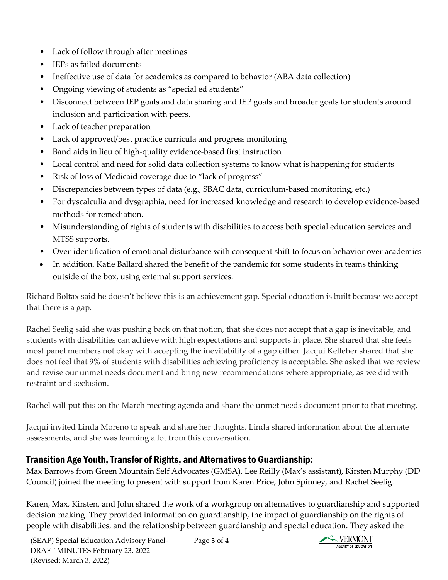- Lack of follow through after meetings
- IEPs as failed documents
- Ineffective use of data for academics as compared to behavior (ABA data collection)
- Ongoing viewing of students as "special ed students"
- Disconnect between IEP goals and data sharing and IEP goals and broader goals for students around inclusion and participation with peers.
- Lack of teacher preparation
- Lack of approved/best practice curricula and progress monitoring
- Band aids in lieu of high-quality evidence-based first instruction
- Local control and need for solid data collection systems to know what is happening for students
- Risk of loss of Medicaid coverage due to "lack of progress"
- Discrepancies between types of data (e.g., SBAC data, curriculum-based monitoring, etc.)
- For dyscalculia and dysgraphia, need for increased knowledge and research to develop evidence-based methods for remediation.
- Misunderstanding of rights of students with disabilities to access both special education services and MTSS supports.
- Over-identification of emotional disturbance with consequent shift to focus on behavior over academics
- In addition, Katie Ballard shared the benefit of the pandemic for some students in teams thinking outside of the box, using external support services.

Richard Boltax said he doesn't believe this is an achievement gap. Special education is built because we accept that there is a gap.

Rachel Seelig said she was pushing back on that notion, that she does not accept that a gap is inevitable, and students with disabilities can achieve with high expectations and supports in place. She shared that she feels most panel members not okay with accepting the inevitability of a gap either. Jacqui Kelleher shared that she does not feel that 9% of students with disabilities achieving proficiency is acceptable. She asked that we review and revise our unmet needs document and bring new recommendations where appropriate, as we did with restraint and seclusion.

Rachel will put this on the March meeting agenda and share the unmet needs document prior to that meeting.

Jacqui invited Linda Moreno to speak and share her thoughts. Linda shared information about the alternate assessments, and she was learning a lot from this conversation.

# Transition Age Youth, Transfer of Rights, and Alternatives to Guardianship:

Max Barrows from Green Mountain Self Advocates (GMSA), Lee Reilly (Max's assistant), Kirsten Murphy (DD Council) joined the meeting to present with support from Karen Price, John Spinney, and Rachel Seelig.

Karen, Max, Kirsten, and John shared the work of a workgroup on alternatives to guardianship and supported decision making. They provided information on guardianship, the impact of guardianship on the rights of people with disabilities, and the relationship between guardianship and special education. They asked the